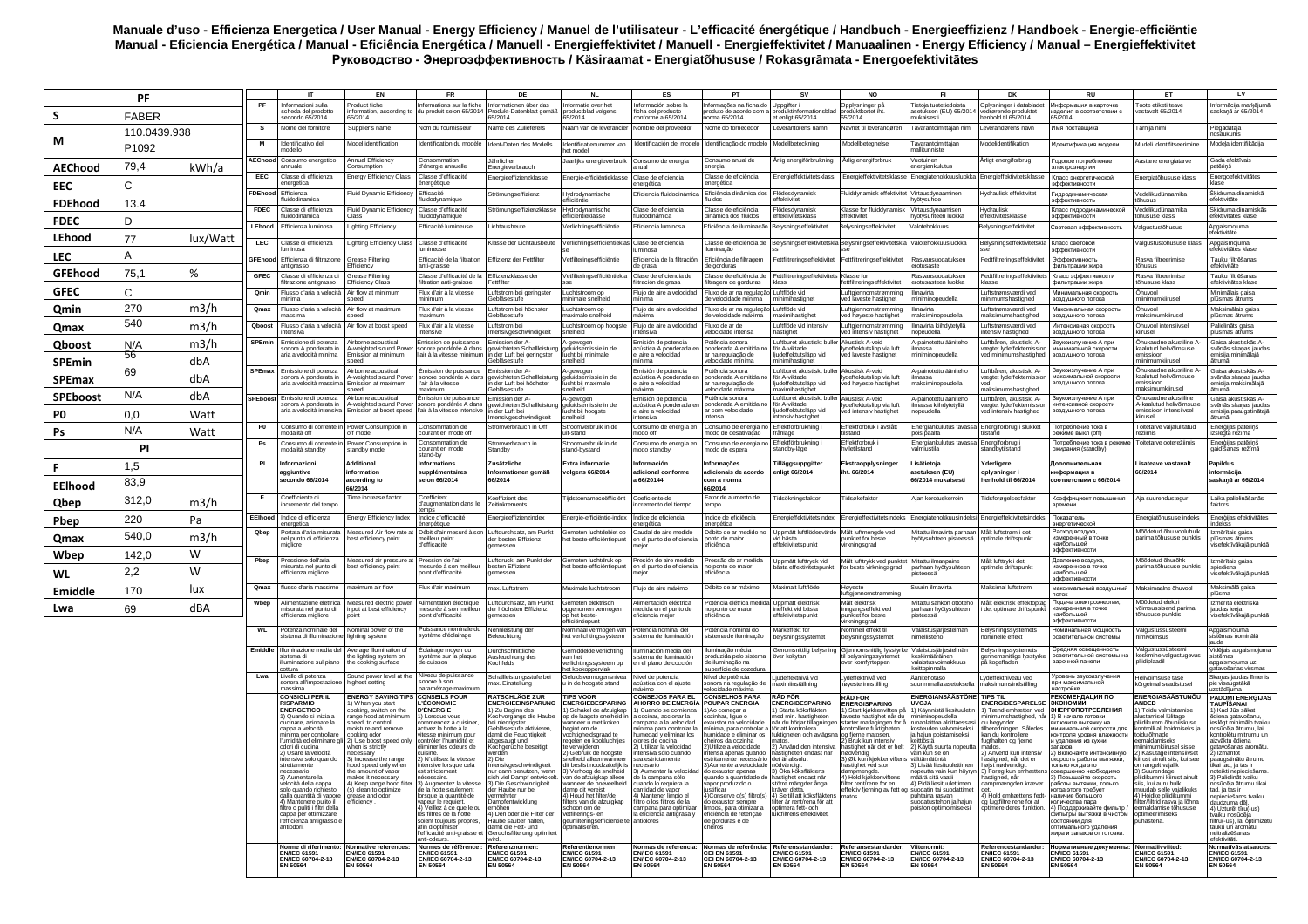## Manuale d'uso - Efficienza Energetica / User Manual - Energy Efficiency / Manuel de l'utilisateur - L'efficacité énergétique / Handbuch - Energieeffizienz / Handboek - Energie-efficiëntie Мапиан - Египерии Силинов и Северной и Силинов и Северной и Силинов и Силинов и Северной и Силинов и Силинов и<br>Мапиан - Eficiencia Energética / Manual - Eficiência Energética / Manuell - Energieffektivitet / Manual - Ener

| PF                     |              |          | $^{\text{IT}}$  | <b>EN</b>                                                                          | <b>FR</b>                                                               | DE                                                                            | <b>NL</b>                                                                      | ES                                                                               | PT                                                                                       | <b>SV</b>                                                                                                    | <b>NO</b>                                                                                     | FI.                                                                     | DK                                                                             | <b>RU</b>                                                            | ET                                                                                    | LV                                                                                                |                                                                                               |
|------------------------|--------------|----------|-----------------|------------------------------------------------------------------------------------|-------------------------------------------------------------------------|-------------------------------------------------------------------------------|--------------------------------------------------------------------------------|----------------------------------------------------------------------------------|------------------------------------------------------------------------------------------|--------------------------------------------------------------------------------------------------------------|-----------------------------------------------------------------------------------------------|-------------------------------------------------------------------------|--------------------------------------------------------------------------------|----------------------------------------------------------------------|---------------------------------------------------------------------------------------|---------------------------------------------------------------------------------------------------|-----------------------------------------------------------------------------------------------|
| S.                     | <b>FABER</b> |          | PF              | Informazioni sulla<br>scheda del prodotto                                          | Product fiche                                                           | Informations sur la fiche<br>formation, according to du produit selon 65/2014 | Informationen über das<br>Produkt-Datenblatt gemäß                             | Informatie over het<br>productblad volgens                                       | Información sobre la<br>icha del producto                                                | Informacões na ficha do I Unnoifter i<br>produto de acordo com a produktinfor                                |                                                                                               | Opplysninger på<br>produktkortet iht.                                   | Tietoja tuotetiedoista<br>etuksen (EU) 65/2014                                 | Oplysninger i databladet<br>nde produktet i                          | Информация в карточке<br>изделия в соответствии с<br>65/2014                          | roote etiketi teavr<br>astavalt 65/2014                                                           | Informācija markējumā<br>saskanā ar 65/2014                                                   |
|                        | 110.0439.938 |          | s               | secondo 65/2014<br>Nome del fornitore                                              | 35/2014<br>supplier's name                                              | Nom du fournisseur                                                            | 65/2014<br>Name des Zulieferers                                                | Naam van de leverancie                                                           | conforme a 65/2014<br>lombre del proveedor                                               | norma 65/2014<br>Nome do fornecedor                                                                          | et enligt 65/2014<br>everantörens namn                                                        | 65/2014<br><b>Navnet til leverandører</b>                               | nukaisesti<br>avarantoimittajan nim                                            | enhold til 65/2014<br>verandørens navr                               | Имя поставщика                                                                        | arnija nim                                                                                        | Piegādātāja<br>hosaukums                                                                      |
| М                      | P1092        |          | M               | Identificativo del<br>modello                                                      | Model identification                                                    | Identification du modèle                                                      | Ident-Daten des Modells                                                        | Identificatienummer var<br>het model                                             | dentificación del model                                                                  | dentificação do modelo                                                                                       | Modellbeteckning                                                                              | Modellbetegnelse                                                        | <b>Tavarantoimittaian</b><br>allitunniste                                      | <b>Aodelidentifikation</b>                                           | Идентификация модели                                                                  | Audeli identifitseerimine                                                                         | Modeļa identifikācija                                                                         |
| <b>AEChood</b>         | 79,4         | kWh/a    | AEChood         | Consumo energetico<br>annuale                                                      | Annual Efficiency<br>onsumption                                         | Consommation<br>d'énergie annuell                                             | Jährlicher<br>Energieverbrauch                                                 | Jaarlijks energieverbruik                                                        | Consumo de energía<br>nual                                                               | Consumo anual de<br>ergia                                                                                    | Arlig energiförbrukning                                                                       | Årlig energiforbruk                                                     | Vuotuinen<br>ergiankulutus                                                     | Årligt energiforbrug                                                 | Головое потребление<br>лектроэнергии                                                  | Aastane energiatarve                                                                              | Gada efektīvais<br>atēriņš                                                                    |
| EEC                    | C            |          | <b>EEC</b>      | Classe di efficienza<br>energetica                                                 | nergy Efficiency Class                                                  | Classe d'efficacité<br>énergétique                                            | Energieeffizienzklasse                                                         | Energie-efficiëntieklass                                                         | Clase de eficiencia<br>energética                                                        | Classe de eficiência<br>energética                                                                           | Energieffektivitetsklass                                                                      | Energieffektivitetsklass                                                | Energiatehokkuusluokka                                                         | Energieffektivitetsklass                                             | Класс энергетической<br>эффективности                                                 | nergiatőhususe klass                                                                              | Energoefektivitätes<br>lase                                                                   |
|                        |              |          | <b>FDEhood</b>  | Efficienza<br>luidodinamica                                                        | Fluid Dynamic Efficienc                                                 | Efficacité<br>fluidodynamigue                                                 | Strömungseffizienz                                                             | Hydrodynamische<br>efficiëntie                                                   | Eficiencia fluidodinámica                                                                | Eficiência dinâmica dos<br>luidos                                                                            | Flödesdynamisl<br>effektivitet                                                                | luiddynamisk effektivit                                                 | /irtausdynaaminer<br>hvötvsuhde                                                | lydraulisk effektivitet                                              | Гидродинамическая<br>эффективность                                                    | /edelikudünaamika<br>ihusus                                                                       | Škidruma dinamiskā<br>efektivitäte                                                            |
| <b>FDEhood</b>         | 13.4         |          | <b>FDEC</b>     | Classe di efficienza<br>luidodinamica                                              | Fluid Dynamic Efficiency<br>laee                                        | Classe d'efficacité<br>fluidodynamique                                        | Strömungseffizienzklasse                                                       | Hydrodynamische<br>efficiëntieklasse                                             | Clase de eficiencia<br>fluidodinámica                                                    | Classe de eficiência<br>dinâmica dos fluidos                                                                 | Flödesdynamisl<br>effektivitetsklass                                                          | Klasse for fluiddynamis<br>ffektivitet                                  | Virtausdynaamisen<br>hyötysuhteen luokka                                       | Hydraulisk<br>ffektivitetsklasse                                     | Класс гидродинамической<br>эффективности                                              | edelikudünaamika<br>hususe klass                                                                  | Škidruma dinamiskās<br>efektivitätes klase                                                    |
| <b>FDEC</b>            | D            |          | <b>LEhood</b>   | Efficienza luminosa                                                                | ighting Efficiency                                                      | Efficacité lumineuse                                                          | Lichtausbeute                                                                  | Verlichtingsefficiëntie                                                          | Eficiencia luminosa                                                                      | Eficiência de iluminação Belysningseffektivitet                                                              |                                                                                               | selvsningseffektivitet                                                  | Valotehokkuus                                                                  | <b>Belysningseffektivitet</b>                                        | Световая эффективность                                                                | algustustőhusus                                                                                   | Apgaismoiuma                                                                                  |
| LEhood                 | 77           | lux/Watt | LEC             | Classe di efficienza<br>uminosa                                                    | ighting Efficiency Class                                                | Classe d'efficacité                                                           | Klasse der Lichtausbeute                                                       | Verlichtingsefficiëntieklas Clase de eficiencia                                  |                                                                                          | Classe de eficiência de                                                                                      |                                                                                               | Belysningseffektivitetskla Belysningseffektivitetskla                   | Valotehokkuusluokka                                                            | Belysningseffektivitetskla                                           | Класс световой                                                                        | algustustöhususe klass                                                                            | fektivitäte<br>Apgaismojuma<br>efektivitātes klase                                            |
| LEC.                   | Α            |          | <b>GFEhood</b>  | Efficienza di filtrazione                                                          | rease Filtering                                                         | umineuse<br>Efficacité de la filtration                                       | Effizienz der Fettfilte                                                        | Vetfilteringsefficiëntie                                                         | uminosa<br>Eficiencia de la filtración                                                   | luminação<br>Eficiência de filtragem                                                                         | Fettfiltreringseffektivitet                                                                   | Fettfiltreringseffektivite                                              | Rasvansuodatukser                                                              | edtfiltreringseffektivite                                            | эффективности<br>Эффективность                                                        | Rasva filtreerimise                                                                               | Tauku filtrēšanas                                                                             |
| <b>GFEhood</b>         | 75,1         | %        | GFEC            | antigrasso<br>Classe di efficienza di                                              | Efficiency<br><b>Grease Filtering</b>                                   | anti-graisse<br>Classe d'efficacité de la                                     | Effizienzklasse der                                                            | Vetfilteringsefficiëntiekla                                                      | de grasa<br>Clase de eficiencia de                                                       | de gorduras<br>Classe de eficiência de                                                                       | Fettfiltreringseffektivitets Klasse for                                                       |                                                                         | erotusaste<br>Rasvansuodatuksen                                                | Fedtfiltreringseffektivit                                            | фильтрации жира<br>Класс эффективности                                                | tõhusus<br>Rasva filtreerimise                                                                    | efektivitäte<br>Tauku filtrēšanas                                                             |
| <b>GFEC</b>            | C            |          | Omin            | liltrazione antigrasso<br>Flusso d'aria a velocità                                 | <b>Efficiency Class</b><br>Air flow at minimum                          | filtration anti-graisse<br>Flux d'air à la vitesse                            | Fettfilter<br>Luftstrom bei geringster                                         | uchtstroom op                                                                    | iltración de grasa<br>Fluio de aire a velocidad                                          | filtragem de gorduras<br>Eluxo de ar na regulação Luftflöde vid                                              | klass                                                                                         | fettfiltreringseffektivitet<br>Luftgjennomstrømming                     | erotusasteen luokka<br>Ilmavirta                                               | klasse<br>Luftstrømsværdi ved                                        | фильтрации жира<br>Минимальная скорость                                               | õhususe klass<br>Innvnd                                                                           | afektivitātes klase<br>Minimālais gaisa                                                       |
| Qmin                   | 270          | m3/h     | Qmax            | ninima<br>Flusso d'aria a velocità                                                 | peed<br>Air flow at maximum                                             | minimum<br>Flux d'air à la vitesse                                            | <b>Gebläsestufe</b><br>I uftstrom bei höchster                                 | minimale snelheid<br>I uchtstroom op                                             | inima<br>Flujo de aire a velocidad                                                       | de velocidade mínima   minimihastighe<br>Fluxo de ar na regulação Luftflöde vid                              |                                                                                               | ved laveste hastighet<br>Luftgjennomstrømming                           | niniminopeudella<br>Ilmavirta                                                  | ninimumshastighed<br>I uftstramsværdi ved                            | воздушного потока<br>Максимальная скорость                                            | iinimumkiiruse<br>Innund                                                                          | plūsmas ātrums<br>Maksimālais gaisa                                                           |
| Qmax                   | 540          | m3/h     | Qboos           | massima<br>Flusso d'aria a velocità                                                | speed<br>ir flow at boost speed                                         | maximum<br>Flux d'air à la vitesse                                            | Gebläsestufe<br>Luftstrom bei                                                  | maximale snelheid<br>Luchtstroom op hoogste                                      | náxima<br>Flujo de aire a velocidad                                                      | de velocidade máxima   maximihastighet<br>Fluxo de ar de                                                     | Luftflöde vid intensiv                                                                        | ved høyeste hastighet<br>Luftgjennomstrømming                           | maksiminopeudella<br>Imavirta kiihdytetyllä                                    | maksimumshastighed<br>Luftstrømsværdi ved                            | воздушного потока<br>Интенсивная скорость                                             | naksimumkiirusel<br>Öhuvool intensiivsel                                                          | plūsmas ātrums<br>Palielināts gaisa                                                           |
|                        |              |          | <b>SPEmin</b>   | ntensiva<br>Emissione di potenza                                                   | virborne acoustical                                                     | intensive<br>Émission de puissance                                            | Intensivgeschwindigkeit<br>Emission der A-                                     | snelheid<br>A-gewogen                                                            | intensiva<br>Emisión de potencia                                                         | velocidade intensa<br>Potência sonora                                                                        | hastighet<br>Luftburet akustiskt buller Akustisk A-veid                                       | ved intensiv hastighet                                                  | nopeudella<br>A-painotettu ääniteho                                            | ntensiv hastighed<br>Luftbåren, akustisk, A-                         | воздушного потока<br>Звукоизлучение А при                                             | iirusel<br>.<br>Šhukaudne akustiline A-                                                           | plūsmas ātrums<br>Gaisa akustiskās A-                                                         |
| <b>Qboost</b>          | N/A<br>56    | m3/h     |                 | sonora A nonderata in<br>aria a velocità minima                                    | .<br>weighted sound Powe<br>Imission at minimum                         | sonore nondérée A dans<br>l'air à la vitesse minimui                          | ewichteten Schallleis<br>der Luft bei geringster                               | re genegen<br>geluidsemissie in de<br>lucht bij minimale                         | cústica A ponderada<br>l aire a velocidad                                                | onderada A emitida r<br>ar na regulação de                                                                   | för A-viktade<br>ljudeffektutsläpp vid                                                        | Ivdeffektutslinn via luft<br>ed laveste hastighet                       | ilmassa<br>iniminopeudella                                                     | væntet lydeffektemissio<br>ed minimumshastighed                      | лнимальной скорости<br>воздушного потока                                              | aalutud helivõimsuse<br>nissioon                                                                  | svērtās skanas jaudas<br>misija minimālajā                                                    |
| <b>SPEmin</b>          | 69           | dbA      | <b>SPEmax</b>   | Emissione di potenza                                                               | beed<br>Airborne acoustical                                             | Émission de puissance                                                         | Gebläsestufe<br>Emission der A-                                                | snelheid<br>A-gewogen                                                            | inima<br>Emisión de potencia                                                             | elocidade mínima<br>Potência sonora                                                                          | minimihastighet<br>Luftburet akustiskt buller                                                 | Akustisk A-veid                                                         | A-painotettu ääniteho                                                          | Luftbåren, akustisk, A-                                              | Звукоизлучение А при                                                                  | iinimumkiirusel<br>.<br>Shukaudne akustiline A                                                    | ātrumā<br>Gaisa akustiskās A-                                                                 |
| <b>SPEmax</b>          |              | dbA      |                 | sonora A ponderata in<br>aria a velocità mass                                      | -<br>∿-weighted sound Power<br>Emission at maximum<br>peed              | sonore pondérée A dans<br>l'air à la vitesse<br>haximum                       | gewichteten Schallleistun<br>der Luft bei höchster<br>Gebläsestufe             | geluidsemissie in de<br>lucht bij maximale<br>snelheid                           | acústica A nonderada e<br>l aire a velocidad<br>axima                                    | ponderada A emitida no<br>ar na regulação de<br>velocidade máxima                                            | för A-viktade<br>liudeffektutslänn vid<br>naximihastighet                                     | lydeffektutslipp via luft<br>ved høyeste hastighet                      | ilmassa<br>maksiminopeudella                                                   | vægtet lydeffektemission<br>/ed<br>aksimumshastighed                 | максимальной скорости<br>воздушного потока                                            | aalutud helivõimsuse<br>missioon<br>naksimumkiirusel                                              | svērtās skaņas jaudas<br>emisija maksimālajā<br>ātrumā                                        |
| <b>SPEboost</b>        | N/A          | dbA      |                 | SPEboost Emissione di potenza<br>sonora A ponderata ir                             | Airborne acoustical<br>weighted sound Pov                               | Émission de nuissance<br>sonore pondérée A dan:                               | Emission der A                                                                 | A-gewogen<br>geluidsemissie in de                                                | Emisión de notencia<br>cústica A ponderada                                               | Potência sonora<br>ponderada A emitida                                                                       | Luftburet akustiskt buller Akustisk A-veid<br>för A-viktade                                   | lydeffektutslipp via luft                                               | A-painotettu ääniteho<br>ilmassa kiihdytetyllä                                 | uftbåren, akustisk, A-<br>vægtet lydeffektemissio                    | Звукоизпучение А при<br>тенсивной скорости                                            | Öhukaudne akustiline<br>-kaalutud helivõims                                                       | Gaisa akustiskās A-<br>svērtās skaņas jaudas                                                  |
| P0                     | 0.0          | Watt     |                 | aria a velocità intensiva                                                          | Emission at boost speed                                                 | l'air à la vitesse intensiv                                                   | n der Luft bei<br>Intensivgeschwindigkeit                                      | lucht bij hoogste<br>snelheid                                                    | al aire a velocidad<br>tensiva                                                           | ar com velocidade<br>ntensa                                                                                  | liudeffektutsläpp vid<br>intensiv hastighet                                                   | ved intensiv hastighet                                                  | chebueco                                                                       | ved intensiv hastighed                                               | воздушного потока                                                                     | missioon intensiivsel<br>iirusel                                                                  | emisija paaugstinātajā<br>atruma                                                              |
| Ps                     | N/A          | Watt     | P <sub>0</sub>  | Consumo di corrente in<br>nodalità off                                             | Power Consumption in<br>off mode                                        | Consommation de<br>courant en mode off                                        | Stromverbrauch in Off                                                          | Stroomverbruik in de<br>uit-stand                                                | Consumo de energía er<br>tho off                                                         | Consumo de energia no<br>nodo de desativação                                                                 | Effektförbrukning i<br>frånläge                                                               | Effektforbruk i avslått<br>ilstand                                      | Energiankulutus tavassa<br>pois päältä                                         | Energiforbrug i slukket<br>ilstand                                   | Потребление тока в<br>киме выкл (off)                                                 | Toitetarve väljalülitatud<br>ežiimis                                                              | Enerģijas patērinš<br>zslēgtā režīmā                                                          |
|                        | <b>PI</b>    |          | Ps              | Consumo di corrente in<br>nodalità standby                                         | Power Consumption in<br>standby mode                                    | Consommation de<br>courant en mode                                            | Stromverbrauch in<br>Standby                                                   | Stroomverbruik in de<br>stand-bystand                                            | Consumo de energía er<br>nodo standby                                                    | Consumo de energia no<br>todo de espera                                                                      | Effektförbrukning i<br>standby-läge                                                           | Effektforbruk<br>dletilstand                                            | Energiankulutus tavassa<br>almiustila                                          | Energiforbrug<br>standbytilstand                                     | Потребление тока в реж<br>жидания (standby)                                           | loitetarve ooterežiimis                                                                           | Energijas patērinš<br>gaidīšanas režīmā                                                       |
| F.                     | 1,5          |          | PI              | Informazioni                                                                       | dditional                                                               | stand-by<br><b>Informations</b>                                               | Zusätzliche                                                                    | <b>Extra informatio</b>                                                          | Información                                                                              | Informacões                                                                                                  | <b>Tilläggsuppgifter</b>                                                                      | Ekstraopplysninger                                                      | Lisätietoja                                                                    | Yderligere                                                           | Дополнительная                                                                        | Lisateave vastavalt                                                                               | Papildus                                                                                      |
|                        | 83,9         |          |                 | aggiuntive<br>secondo 66/2014                                                      | <b>iformation</b><br><b>according</b> to                                | supplémentaires<br>selon 66/2014                                              | Informationen gemäß<br>66/2014                                                 | volgens 66/2014                                                                  | adicional conforme<br>a 66/20144                                                         | adicionais de acordo<br>com a norma                                                                          | enligt 66/2014                                                                                | iht. 66/2014                                                            | asetuksen (EU)<br>66/2014 mukaisesti                                           | oplvsninger i<br>henhold til 66/2014                                 | информация в<br>соответствии с 66/2014                                                | 66/2014                                                                                           | informācija<br>saskaņā ar 66/2014                                                             |
| <b>EElhood</b><br>Qbep | 312,0        | m3/h     |                 | Coefficiente di<br>ncremento del tempo                                             | 66/2014<br>l'ime increase factor                                        | Coefficient<br>d'augmentation dans le                                         | Koeffizient des<br>Zeitinkrements                                              | Tiidstoenamecoëfficiënt                                                          | Coeficiente de<br>cremento del tiempo                                                    | 66/2014<br>Fator de aumento de<br>tempo                                                                      | Tidsökningsfaktor                                                                             | Tidsøkefaktor                                                           | Aian korotuskerroin                                                            | Tidsforøgelsesfaktor                                                 | Коэффициент повышения                                                                 | <b>Nia suurendustegur</b>                                                                         | Laika palielināšanās<br>aktors                                                                |
| Pbep                   | 220          | Pa       | <b>EEIhood</b>  | Indice di efficienza<br>energetica                                                 | nergy Efficiency Index                                                  | Indice d'efficacité<br>nergétique                                             | Energieeffizienzinde:                                                          | Energie-efficiëntie-index                                                        | ndice de eficiencia                                                                      | Indice de eficiência<br>energética                                                                           | Energieffektivitetsindex                                                                      | Energieffektivitetsindeks                                               | Energiatehokkuusindeks                                                         | Energieffektivitetsindeks                                            | Показатель<br>нергетической                                                           | Energiatõhususe indeks                                                                            | Enerģijas efektivitātes<br>ndekss                                                             |
| Qmax                   | 540,0        | m3/h     | Qbep            | Portata d'aria misurata<br>el punto di efficienza                                  | Measured Air flow rate at I<br>est efficiency point                     | Débit d'air mesuré à son<br>meilleur noint                                    | Luftdurchsatz, am Punkt<br>der besten Effizienz                                | Gemeten luchtdebiet oc<br>het beste-efficiëntiepur                               | energética<br>Caudal de aire medido<br>n el punto de eficiencia                          | Débito de ar medido no<br>onto de maior                                                                      | Uppmätt luftflödesvärde<br>atzikd biv                                                         | Målt luftmengde ved<br>punktet for beste                                | Mitattu ilmavirta parhaan<br>hyötysuhteen pisteessä                            | Målt luftstrøm i det<br>ootimale driftspunkt                         | Расход воздуха<br>измеренный в точке                                                  | vlőődetud őhu vooluhulk<br>xarima tõhususe punktis                                                | Izmērītais gaisa<br>olūsmas ātrums                                                            |
| Wbep                   | 142,0        | W        |                 | nigliore                                                                           |                                                                         | d'efficacité                                                                  | aemessen                                                                       |                                                                                  | eior                                                                                     | ficiência                                                                                                    | effektivitetspunkt                                                                            | irkningsgrad                                                            |                                                                                |                                                                      | наибольшей<br>эффективности                                                           |                                                                                                   | isefektīvākajā punktā                                                                         |
| WL                     | 2,2          | W        | Pbep            | ressione dell'aria<br>nisurata nel punto di<br>efficienza migliore                 | Measured air pressure at<br>pest efficiency point                       | Pression de l'air<br>mesurée à son meilleu<br>point d'efficacité              | Luftdruck, am Punkt der<br>besten Effizienz<br>demessen                        | Gemeten luchtdruk op<br>het beste-efficiëntiepun                                 | esión de aire medido<br>en el punto de eficiencia<br>ejor                                | ressão de ar medida<br>no ponto de maior<br>ficiência                                                        | Uppmätt lufttryck vid<br>båsta effektivitetspunkt                                             | Målt lufttrykk ved punktet Mitattu ilmanpaine<br>or beste virkningsgrad | parhaan hyötysuhteen<br>isteessä                                               | Målt lufttryk i det<br>potimale driftspunkt                          | Давление воздуха<br>измеренное в точке<br>наибольшей                                  | Mőődetud őhurőhk<br>arima tõhususe punktis                                                        | zmērītais gaisa<br>spiediens<br>isefektīvākajā punktā                                         |
| Emiddle                | 170          | lux      | Qmax            | lusso d'aria massimo                                                               | naximum air flow                                                        | Flux d'air maximum                                                            | max. Luftstrom                                                                 | Maximale luchtstroom                                                             | Fluio de aire máximo                                                                     | Débito de ar máximo                                                                                          | Maximalt luftflöde                                                                            | Høyeste                                                                 | Suurin ilmavirta                                                               | Aaksimal luftstrøm                                                   | эффективности<br>максимальный воздушный                                               | Vaksimaalne õhuvool                                                                               | Maksimālā gaisa                                                                               |
|                        |              |          | Wbep            | Alimentazione elettrica                                                            | asured electric power                                                   | Alimentation électrique                                                       | Luftdurchsatz, am Punkt                                                        | Gemeten elektrisch                                                               | Alimentación eléctrica                                                                   | 'otência elétrica medida Uppmätt elel                                                                        |                                                                                               | uftgjennomstrømr<br>Målt elektrisk                                      | Mitattu sähkön ottoteho                                                        | Vlålt elektrisk effektootad                                          | Подача электроэнергии                                                                 | Mõõdetud elektri                                                                                  | olüsma<br>Izmērītā elektriskā                                                                 |
| Lwa                    | 69           | dBA      |                 | nisurata nel punto di<br>efficienza migliore                                       | input at best efficiency                                                | mesurée à son meilleur<br>point d'efficacité                                  | der höchsten Effizienz<br>nessen                                               | opgenomen vermogen<br>op het beste-<br>efficiëntiepunt                           | medida en el nunto de<br>eficiencia mejor                                                | no ponto de maior<br>iciência                                                                                | ineffekt vid bästa<br>effektivitetspunkt                                                      | inngangseffekt ved<br>nunktet for beste<br>irkningsgrad                 | parhaan hyötysuhteen<br><b>isteessä</b>                                        | det optimale driftspunkt                                             | измеренная в точке<br>наибольшей<br>эффективности                                     | õimsussisend parima<br>õhususe punktis                                                            | iaudas ieeia<br>visefektīvākajā punktā                                                        |
|                        |              |          | $\overline{WL}$ | Potenza nominale del<br>istema di illuminazion                                     | Nominal power of the<br>ighting system                                  | Puissance nominale di<br>svstème d'éclairage                                  | Nennleistung der<br>Releuchtung                                                | Nominaal vermogen van<br>het verlichtings                                        | Potencia nominal del<br>stema de iluminación                                             | Potência nominal do<br>istema de iluminacão                                                                  | Märkeffekt för<br>alysningssysteme                                                            | Nominell effekt til<br>elysningssysteme                                 | Valaistusiäriestelmän<br>mellisteho                                            | Belvsningssystemets<br>ominelle effekt                               | Номинальная мошность<br>светительной системь                                          | /algustussüsteemi                                                                                 | Apgaismojuma<br>stēmas nominālā<br>jauda                                                      |
|                        |              |          | Emiddle         | Illuminazione media del<br>sistema di<br>illuminazione sul piano<br>cottura        | verage illumination of<br>the lighting system on<br>the cooking surface | Éclairage moyen du<br>système sur la plaque<br>de cuisson                     | Durchschnittliche<br>Ausleuchtung des<br>Kochfelds                             | Gemiddelde verlichting<br>van het<br>verlichtingssysteem op<br>het kookoppervlak | luminación media del<br>stema de iluminación<br>n el plano de cocción                    | uminação média<br>oroduzida pelo sister<br>de iluminação na<br>superfície de cozedur                         | Genomsnittlig belysning<br>över kokytan                                                       | Gjennomsnittlig lysstyrk<br>til belysningssystemet<br>over komfyrtoppen | alaistusjärjestelmän<br>eskimääräinen<br>valaistusvoimakkuus<br>ceittopinnalla | Belysningssystemets<br>gennemsnitlige lysstyrl<br>på kogefladen      | Спелняя освещенность<br>светительной системы н<br>варочной панели                     | algustussüsteemi<br>kmine valgustugevus<br><b>didiplaadil</b>                                     | Vidējais apgaismojuma<br>sistēmas<br>apgaismojums uz<br>gatavošanas virsmas                   |
|                        |              |          | Lwa             | ivello di potenza<br>sonora all'impostazione<br>naccima                            | Sound power level at the<br>highest setting                             | Niveau de puissance<br>sonore à sor<br>paramétrage maximun                    | Schallleistungsstufe bei<br>max. Einstellung                                   | Geluidsvermogensnive<br>u in de hoogste stand                                    | ivel de potencia<br>acústica con el aiuste<br>náximo                                     | Vível de potência<br>sonora na regulação de<br>velocidade máxima                                             | Liudeffektnivå vid<br>aximiinställning                                                        | vdeffektnivå ved<br>ayeste innstilling                                  | Äänitehotaso<br>suurimmalla asetuksella                                        | vdeffektniveau ved<br>haksimumsindstilling                           | ровень звукоизлучени:<br>при максимальной<br><b>ІСТ</b> ДОЙКӨ                         | lelivõimsuse tase<br>orgeimal seadistusel                                                         | Skaņas jaudas līmenis<br>pie visaugstākā<br>zstādījuma                                        |
|                        |              |          |                 | <b>CONSIGLI PER IL</b><br>RISPARMIO<br><b>ENERGETICO</b>                           | <b>ENERGY SAVING TIPS</b><br>When you start<br>ooking, switch on the    | CONSEILS POUR<br>L'ÉCONOMIE<br>)'ÉNERGIE                                      | <b>RATSCHLÄGE ZUR</b><br><b>ENERGIEEINSPARUNG</b><br>1) Zu Beginn des          | <b>TIPS VOOR</b><br><b>ENERGIEBESPARING</b><br>) Schakel de afzujokar            | CONSEJOS PARA EL<br>AHORRO DE ENERGÍA<br>Cuando se comienza                              | CONSELHOS PARA<br><b>POUPAR ENERGIA</b>                                                                      | <b>RÁD FÖR</b><br>ENERGIBESPARING<br>) Starta köksfläkten                                     | <b>RAD FOR</b><br><b>ENERGISPARING</b><br>I) Start kiøkkenviften n      | <b>ENERGIANSÄÄSTÖNE</b><br><b>ALOVU</b><br>Käynnistä liesituuletir             | <b>TIPS TIL</b><br>ENERGIBESPARELSE<br>1) Tænd emhætten ved          | <b>РЕКОМЕНДАЦИИ ПО</b><br> ЭКОНОМИИ<br> ЭНЕРГОПОТРЕБЛЕНИЯ                             | <b>ENERGIASÄÄSTUNÖU</b><br><b>INDED</b><br>Toidu valmistamise                                     | PADOMI ENERGIJAS<br>TAUPĪŠANAI<br>1) Kad Jūs sākat                                            |
|                        |              |          |                 | ) Quando si inizia a<br>cucinare, azionare la                                      | ange hood at minimum<br>peed, to control                                | Lorsque vous<br>ommencez à cuisiner                                           | Kochvorgangs die Haube<br>bei niedrigster                                      | op de laagste snelheid<br>wanneer û met koker                                    | cocinar, accionar la<br>ampana a la velocidad                                            | Ao comecar a<br>cozinhar, ligue o<br>exaustor na velocidade                                                  | med min. hastigheten<br>när du börjar tillagningen                                            | este hastighet når d<br>starter matlagingen for a                       | iminopeudella<br>uoanlaittoa aloittaess                                        | imumshastighed, na<br>u begynder                                     |                                                                                       | ustamisel lülitage<br>idikumm õhuniiskuse                                                         | idiena gatavošanu<br>eslēgt minimālo tvaiku                                                   |
|                        |              |          |                 | cappa a velocità<br>minima per controllare<br>l'umidità ed eliminare gli           | oisture and remove<br>Use boost speed only                              | activez la hotte à la<br>esse minimum pou<br>contrôler l'humidité et          | Gebläsestufe aktivieren<br>damit die Feuchtigkeit                              | begint om de<br>vochtigheidsgraad te<br>regelen en kookluchtjes                  | ínima para controlar la<br>umedad y eliminar los<br>vlores de cocina                     | ínima, para controlar a Íför att kontrollera<br>numidade e eliminar os<br>cheiros da cozinha                 | fuktigheten och avlägsr<br>natos                                                              | kontrollere fuktioheten<br>og fjerne matosen.<br>2) Bruk kun intensiv   | kosteuden valvomiseksi<br>hajun poistamiseksi                                  | tilberedningen, Således<br>kan du kontrollere<br>ugthalten og fjerne | инимальной скорости для<br>нтроля уровня влажности<br>и удаления из кухни             | ontrolli all hoidmiseks ia<br>idulõhnade                                                          | osūcēja ātrumu, lai<br>kontrolētu mitrumu un<br>aizvāktu ēdiena                               |
|                        |              |          |                 | odori di cucina<br>) Usare la velocità                                             | when is strictly<br>ecssary                                             | éliminer les odeurs de                                                        | abgesaugt und<br>Kochgerüche beseitigt                                         | te verwijderen<br>Gebruik de hoogste                                             | I Utilizar la velocidad<br>ensiva sólo cuando                                            | 2) Utilize a velocidade<br>nsa apenas quando                                                                 | 2) Använd den intensiva<br>stigheten endast när                                               | jastighet når det er helt                                               | 2) Käytä suurta nopeutta<br>ain kun se on                                      | mados.<br>2) Anvend kun intensiy                                     | anaxon<br><br>Включайте интенсивную                                                   | emaldamiseks<br>inimumkiirusel sisse<br>Kasutage intensiivset                                     | atavošanas aromātu<br>) Izmantot                                                              |
|                        |              |          |                 | ntensiva solo quando<br>strettamente                                               | Increase the range<br>lood speed only when                              | 2) N'utilisez la vitesse<br>intensive lorsque cela<br>est strictement         | 2) Die<br>Intensivaeschwindiakeit                                              | elheid alleen wannee<br>dit beslist noodzakeliik i<br>Verhoog de snelheid        | ea estrictamente<br>ecesario<br>Aumentar la velocida                                     | ritamente necessário<br>Aumente a velocidade                                                                 | det är absolut<br>ödvändigt.<br>3) Öka köksfläkten:                                           | 3) Øk kun kiøkkenvifter<br>hastighet ved stor<br>Jampmennde<br>engde    | välttämätöntä<br>3) Lisää liesituulettimen<br>peutta vain kun höyry            | astighed, når det er<br>øist nødvendigt<br>Forøg kun emha            | скорость работы вытяжки,<br>голько когда это                                          | irust ainult siis, kui see<br>rangelt vaialik                                                     | paaugstinätu ätrumu<br>ikai tad, ja tas ir                                                    |
|                        |              |          |                 | necessario<br>3) Aumentare la<br>velocità della cappa                              | he amount of vapor<br>makes it necessary<br>Keep range hood filte       | cessaire.<br>3) Augmentez la vitesse                                          | nur dann benutzen, wenn<br>sich viel Dampf entwickel<br>3) Die Geschwindigkeit | van de afzuigkap allee<br>wanneer de hoeveelhei                                  | e la campana sólo<br>uando lo reguiera la                                                | do exaustor apenas<br>quando a quantidade de<br>vapor produzido o                                            | stighet endast när<br>större mängder ånga                                                     | 1) Hold kjøkkenviftens<br>filter rent/rene for en                       | ārā sitā vaatii<br>4) Pidä liesituulettimen                                    | astighed, nå<br>damomængden kræve                                    | поло когда ото<br>вершенно необходимо<br>Повышайте скорость<br>работы вытяжки, только | nangen vejam<br>Suurendage<br>idikummi kiirust ainult<br>siis, kui auru hulk                      | nar tau, ja tas ir<br>hoteikti nepieciešams.<br>3) Palielināt tvaiku<br>iosūcēja ātrumu tikai |
|                        |              |          |                 | solo quando richiesto<br>dalla quantità di vapore<br>4) Mantenere pulito il        | s) clean to optimize<br>grease and odor<br>fficiency.                   | de la hotte seulement<br>lorsque la quantité de<br>vapeur le requiert.        | der Haube nur be<br>/ermehrter<br>Dampfentwicklung                             | damp dit vereist<br>4) Houd het filter/de<br>filters van de afzuigkap            | antidad de vapor<br>antidad de vapor<br>) Mantener limpio e<br>iltro o los filtros de la | Conserve o(s) filtro(s)<br>do exaustor sempre                                                                | mäver detta.<br>Kräver detta.<br>4) Se till att köksfläktens<br>I filter är rent/rena för att | effektiv fjerning av fett<br>natos.                                     | uodatin tai suodattim<br>I puhtaina rasvan<br>suodatustehon ja hajur           | Hold emhættens fed<br>og lugtfiltre rene for at                      | хда это <u>г</u> о требует<br>аличие большого<br>личества пара                        | io, naraana nain<br>juudab selle vajalikuks<br>) Hoidke pliidikummi<br>ter/filtrid rasva ja lõhna | tad, ja tas ir<br>nepieciešams tvaiku<br>daudzuma dēl.                                        |
|                        |              |          |                 | liftro o puliti i filtri della<br>cappa per ottimizzare<br>l'efficienza antigrasso |                                                                         | Veillez à ce que le ou<br>les filtres de la hotte                             | arhöhen<br>Den oder die Filter der                                             | schoon om de<br>vetfilterings- en                                                | campana para optimizar<br>la eficiencia antigrasa y                                      | pos, para otimizar a<br>eficiência de retenção                                                               | optimera fett- och<br>ktfiltrens effektivitet                                                 |                                                                         | ston optim                                                                     | nere deres funktion                                                  | Поллерживайте фильтр<br>фильтры вытяжки в чистом                                      | maldamise tõhu<br>ptimeerimiseks                                                                  | 4) Uzturēt tīru(-us)<br>vaiku nosūcēja                                                        |
|                        |              |          |                 | antiodori.                                                                         |                                                                         | soient toujours propres.<br>afin d'optimise<br>efficacité anti-graisse        | Haube sauber halten.<br>damit die Fett- und<br>Geruchsfilterung optimie        | aeurfilterinasefficiëntie<br>imaliseren                                          | antiolores                                                                               | de gorduras e de                                                                                             |                                                                                               |                                                                         |                                                                                |                                                                      | состоянии для<br>ттимального удалени<br>жира и запахов от готовки                     | uhastena.                                                                                         | filtru(-us). Iai optimizēti<br>tauku un aromatu<br>neitralizēšanas                            |
|                        |              |          |                 | Norme di riferimento:                                                              | Normative references:                                                   | anti-odeurs.<br>Normes de référence                                           | Referenznormen:                                                                | Referentienormen                                                                 | Normas de referencia:                                                                    |                                                                                                              |                                                                                               | Referansestandarder                                                     | Viitenormit                                                                    | Referencestandarder                                                  | Нормативные документы                                                                 | Normatiivviited:                                                                                  | efektivitāti.<br>Normatīvās atsauces:                                                         |
|                        |              |          |                 | <b>EN/IEC 61591</b><br>EN/IEC 60704-2-13                                           | <b>ENJIEC 61591</b><br>ENJIEC 60704-2-13<br>EN 50564                    | <b>EN/IEC 61591</b><br>EN/IEC 60704-2-13<br>EN 50564                          | ENJEC 61591<br>ENJEC 60704-2-13<br>EN 50564                                    | <b>EN/IEC 61591</b><br>EN/IEC 60704-2-13<br>EN 50564                             | EN/IEC 61591<br>EN/IEC 60704-2-13<br>EN 50564                                            | Normas de referência: Referensstandarder:<br>CEI EN 61591<br>CEI EN 60704-2-13 EN/IEC 60704-2-13<br>EN 50564 | EN 50564                                                                                      | EN/IEC 61591<br>EN/IEC 60704-2-13<br>EN 50564                           | <b>EN/IEC 61591</b><br>EN/IEC 60704-2-13<br>EN 50564                           | <b>EN/IEC 61591</b><br>EN/IEC 60704-2-13<br>EN 50564                 | <b>EN/IEC 61591</b><br>EN/IEC 60704-2-13<br>EN 50564                                  | <b>EN/IEC 61591</b><br>EN/IEC 60704-2-13<br>EN 50564                                              | <b>EN/IEC 61591</b><br>EN/IEC 60704-2-13<br>EN 50564                                          |